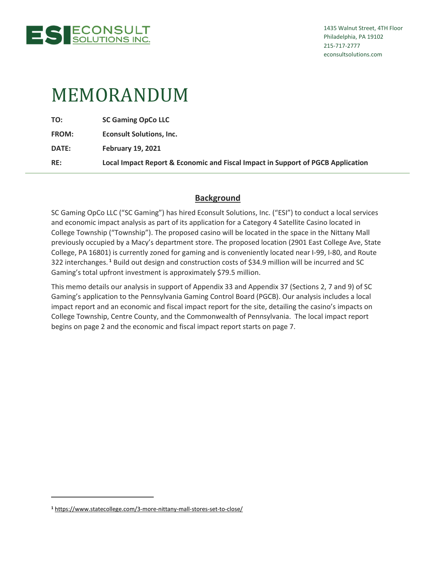

# MEMORANDUM

**TO: SC Gaming OpCo LLC** 

**FROM: Econsult Solutions, Inc.** 

**DATE: February 19, 2021** 

**RE: Local Impact Report & Economic and Fiscal Impact in Support of PGCB Application** 

# **Background**

SC Gaming OpCo LLC ("SC Gaming") has hired Econsult Solutions, Inc. ("ESI") to conduct a local services and economic impact analysis as part of its application for a Category 4 Satellite Casino located in College Township ("Township"). The proposed casino will be located in the space in the Nittany Mall previously occupied by a Macy's department store. The proposed location (2901 East College Ave, State College, PA 16801) is currently zoned for gaming and is conveniently located near I-99, I-80, and Route 322 interchanges.**<sup>1</sup>** Build out design and construction costs of \$34.9 million will be incurred and SC Gaming's total upfront investment is approximately \$79.5 million.

This memo details our analysis in support of Appendix 33 and Appendix 37 (Sections 2, 7 and 9) of SC Gaming's application to the Pennsylvania Gaming Control Board (PGCB). Our analysis includes a local impact report and an economic and fiscal impact report for the site, detailing the casino's impacts on College Township, Centre County, and the Commonwealth of Pennsylvania. The local impact report begins on page 2 and the economic and fiscal impact report starts on page 7.

**<sup>1</sup>** https://www.statecollege.com/3-more-nittany-mall-stores-set-to-close/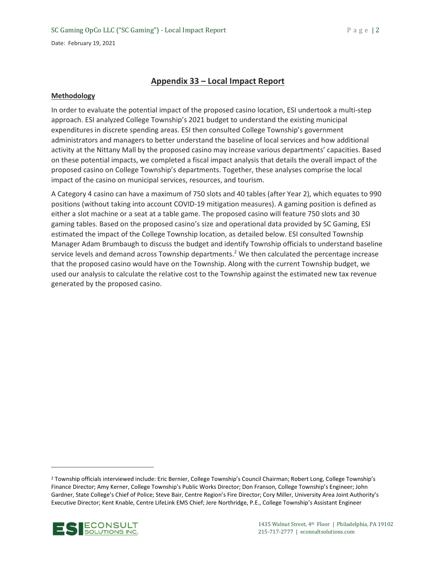# **Appendix 33 – Local Impact Report**

## **Methodology**

In order to evaluate the potential impact of the proposed casino location, ESI undertook a multi-step approach. ESI analyzed College Township's 2021 budget to understand the existing municipal expenditures in discrete spending areas. ESI then consulted College Township's government administrators and managers to better understand the baseline of local services and how additional activity at the Nittany Mall by the proposed casino may increase various departments' capacities. Based on these potential impacts, we completed a fiscal impact analysis that details the overall impact of the proposed casino on College Township's departments. Together, these analyses comprise the local impact of the casino on municipal services, resources, and tourism.

A Category 4 casino can have a maximum of 750 slots and 40 tables (after Year 2), which equates to 990 positions (without taking into account COVID-19 mitigation measures). A gaming position is defined as either a slot machine or a seat at a table game. The proposed casino will feature 750 slots and 30 gaming tables. Based on the proposed casino's size and operational data provided by SC Gaming, ESI estimated the impact of the College Township location, as detailed below. ESI consulted Township Manager Adam Brumbaugh to discuss the budget and identify Township officials to understand baseline service levels and demand across Township departments.<sup>2</sup> We then calculated the percentage increase that the proposed casino would have on the Township. Along with the current Township budget, we used our analysis to calculate the relative cost to the Township against the estimated new tax revenue generated by the proposed casino.

<sup>&</sup>lt;sup>2</sup> Township officials interviewed include: Eric Bernier, College Township's Council Chairman; Robert Long, College Township's Finance Director; Amy Kerner, College Township's Public Works Director; Don Franson, College Township's Engineer; John Gardner, State College's Chief of Police; Steve Bair, Centre Region's Fire Director; Cory Miller, University Area Joint Authority's Executive Director; Kent Knable, Centre LifeLink EMS Chief; Jere Northridge, P.E., College Township's Assistant Engineer

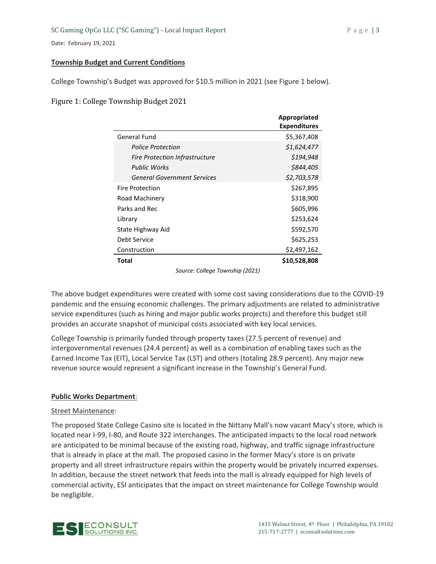## **Township Budget and Current Conditions**

College Township's Budget was approved for \$10.5 million in 2021 (see Figure 1 below).

Figure 1: College Township Budget 2021

|                                       | <b>Appropriated</b> |
|---------------------------------------|---------------------|
|                                       | <b>Expenditures</b> |
| <b>General Fund</b>                   | \$5,367,408         |
| <b>Police Protection</b>              | \$1,624,477         |
| <b>Fire Protection Infrastructure</b> | \$194,948           |
| Public Works                          | \$844,405           |
| <b>General Government Services</b>    | \$2,703,578         |
| <b>Fire Protection</b>                | \$267,895           |
| Road Machinery                        | \$318,900           |
| Parks and Rec                         | \$605,996           |
| Library                               | \$253,624           |
| State Highway Aid                     | \$592,570           |
| Debt Service                          | \$625,253           |
| Construction                          | \$2,497,162         |
| Total                                 | \$10,528,808        |

*Source: College Township (2021)* 

The above budget expenditures were created with some cost saving considerations due to the COVID-19 pandemic and the ensuing economic challenges. The primary adjustments are related to administrative service expenditures (such as hiring and major public works projects) and therefore this budget still provides an accurate snapshot of municipal costs associated with key local services.

College Township is primarily funded through property taxes (27.5 percent of revenue) and intergovernmental revenues (24.4 percent) as well as a combination of enabling taxes such as the Earned Income Tax (EIT), Local Service Tax (LST) and others (totaling 28.9 percent). Any major new revenue source would represent a significant increase in the Township's General Fund.

# **Public Works Department**:

## Street Maintenance:

The proposed State College Casino site is located in the Nittany Mall's now vacant Macy's store, which is located near I-99, I-80, and Route 322 interchanges. The anticipated impacts to the local road network are anticipated to be minimal because of the existing road, highway, and traffic signage infrastructure that is already in place at the mall. The proposed casino in the former Macy's store is on private property and all street infrastructure repairs within the property would be privately incurred expenses. In addition, because the street network that feeds into the mall is already equipped for high levels of commercial activity, ESI anticipates that the impact on street maintenance for College Township would be negligible.

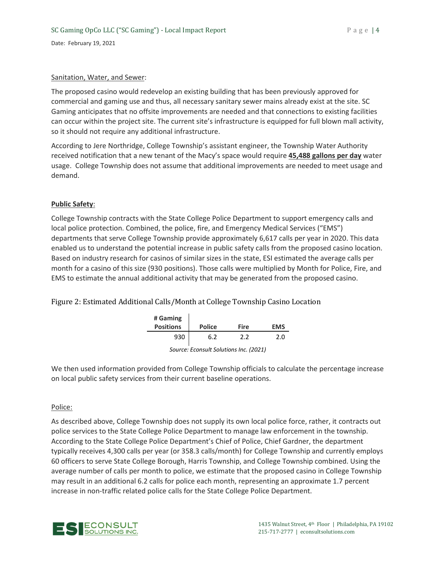#### Sanitation, Water, and Sewer:

The proposed casino would redevelop an existing building that has been previously approved for commercial and gaming use and thus, all necessary sanitary sewer mains already exist at the site. SC Gaming anticipates that no offsite improvements are needed and that connections to existing facilities can occur within the project site. The current site's infrastructure is equipped for full blown mall activity, so it should not require any additional infrastructure.

According to Jere Northridge, College Township's assistant engineer, the Township Water Authority received notification that a new tenant of the Macy's space would require **45,488 gallons per day** water usage. College Township does not assume that additional improvements are needed to meet usage and demand.

## **Public Safety**:

College Township contracts with the State College Police Department to support emergency calls and local police protection. Combined, the police, fire, and Emergency Medical Services ("EMS") departments that serve College Township provide approximately 6,617 calls per year in 2020. This data enabled us to understand the potential increase in public safety calls from the proposed casino location. Based on industry research for casinos of similar sizes in the state, ESI estimated the average calls per month for a casino of this size (930 positions). Those calls were multiplied by Month for Police, Fire, and EMS to estimate the annual additional activity that may be generated from the proposed casino.

Figure 2: Estimated Additional Calls/Month at College Township Casino Location

| # Gaming<br><b>Positions</b> | <b>Police</b> | <b>Fire</b> | <b>FMS</b> |
|------------------------------|---------------|-------------|------------|
| 930                          | 6.2           | 22          | 2.0        |

|  | Source: Econsult Solutions Inc. (2021) |  |  |
|--|----------------------------------------|--|--|
|  |                                        |  |  |

We then used information provided from College Township officials to calculate the percentage increase on local public safety services from their current baseline operations.

## Police:

As described above, College Township does not supply its own local police force, rather, it contracts out police services to the State College Police Department to manage law enforcement in the township. According to the State College Police Department's Chief of Police, Chief Gardner, the department typically receives 4,300 calls per year (or 358.3 calls/month) for College Township and currently employs 60 officers to serve State College Borough, Harris Township, and College Township combined. Using the average number of calls per month to police, we estimate that the proposed casino in College Township may result in an additional 6.2 calls for police each month, representing an approximate 1.7 percent increase in non-traffic related police calls for the State College Police Department.

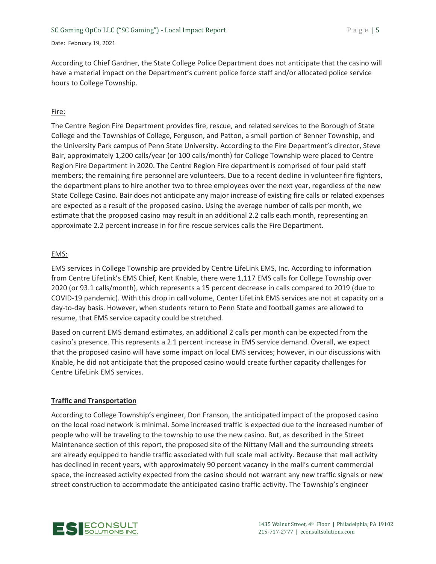According to Chief Gardner, the State College Police Department does not anticipate that the casino will have a material impact on the Department's current police force staff and/or allocated police service hours to College Township.

## Fire:

The Centre Region Fire Department provides fire, rescue, and related services to the Borough of State College and the Townships of College, Ferguson, and Patton, a small portion of Benner Township, and the University Park campus of Penn State University. According to the Fire Department's director, Steve Bair, approximately 1,200 calls/year (or 100 calls/month) for College Township were placed to Centre Region Fire Department in 2020. The Centre Region Fire department is comprised of four paid staff members; the remaining fire personnel are volunteers. Due to a recent decline in volunteer fire fighters, the department plans to hire another two to three employees over the next year, regardless of the new State College Casino. Bair does not anticipate any major increase of existing fire calls or related expenses are expected as a result of the proposed casino. Using the average number of calls per month, we estimate that the proposed casino may result in an additional 2.2 calls each month, representing an approximate 2.2 percent increase in for fire rescue services calls the Fire Department.

## EMS:

EMS services in College Township are provided by Centre LifeLink EMS, Inc. According to information from Centre LifeLink's EMS Chief, Kent Knable, there were 1,117 EMS calls for College Township over 2020 (or 93.1 calls/month), which represents a 15 percent decrease in calls compared to 2019 (due to COVID-19 pandemic). With this drop in call volume, Center LifeLink EMS services are not at capacity on a day-to-day basis. However, when students return to Penn State and football games are allowed to resume, that EMS service capacity could be stretched.

Based on current EMS demand estimates, an additional 2 calls per month can be expected from the casino's presence. This represents a 2.1 percent increase in EMS service demand. Overall, we expect that the proposed casino will have some impact on local EMS services; however, in our discussions with Knable, he did not anticipate that the proposed casino would create further capacity challenges for Centre LifeLink EMS services.

# **Traffic and Transportation**

According to College Township's engineer, Don Franson, the anticipated impact of the proposed casino on the local road network is minimal. Some increased traffic is expected due to the increased number of people who will be traveling to the township to use the new casino. But, as described in the Street Maintenance section of this report, the proposed site of the Nittany Mall and the surrounding streets are already equipped to handle traffic associated with full scale mall activity. Because that mall activity has declined in recent years, with approximately 90 percent vacancy in the mall's current commercial space, the increased activity expected from the casino should not warrant any new traffic signals or new street construction to accommodate the anticipated casino traffic activity. The Township's engineer

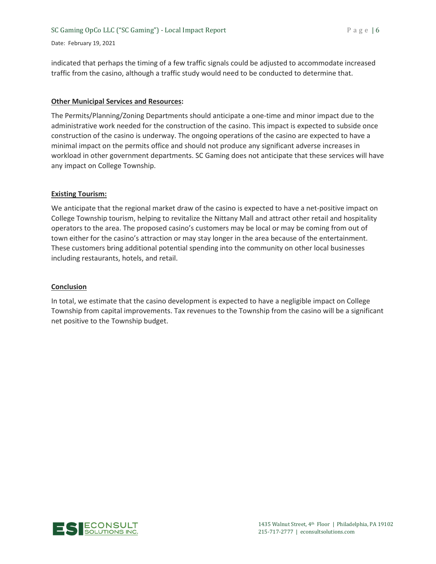#### SC Gaming OpCo LLC ("SC Gaming") - Local Impact Report P a g e | 6

#### Date: February 19, 2021

indicated that perhaps the timing of a few traffic signals could be adjusted to accommodate increased traffic from the casino, although a traffic study would need to be conducted to determine that.

#### **Other Municipal Services and Resources:**

The Permits/Planning/Zoning Departments should anticipate a one-time and minor impact due to the administrative work needed for the construction of the casino. This impact is expected to subside once construction of the casino is underway. The ongoing operations of the casino are expected to have a minimal impact on the permits office and should not produce any significant adverse increases in workload in other government departments. SC Gaming does not anticipate that these services will have any impact on College Township.

#### **Existing Tourism:**

We anticipate that the regional market draw of the casino is expected to have a net-positive impact on College Township tourism, helping to revitalize the Nittany Mall and attract other retail and hospitality operators to the area. The proposed casino's customers may be local or may be coming from out of town either for the casino's attraction or may stay longer in the area because of the entertainment. These customers bring additional potential spending into the community on other local businesses including restaurants, hotels, and retail.

#### **Conclusion**

In total, we estimate that the casino development is expected to have a negligible impact on College Township from capital improvements. Tax revenues to the Township from the casino will be a significant net positive to the Township budget.

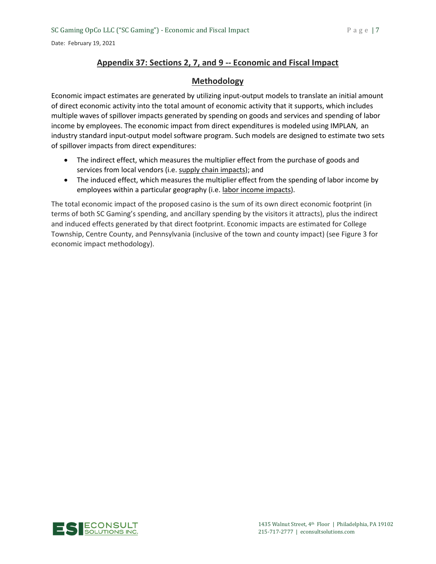# **Appendix 37: Sections 2, 7, and 9 -- Economic and Fiscal Impact**

# **Methodology**

Economic impact estimates are generated by utilizing input-output models to translate an initial amount of direct economic activity into the total amount of economic activity that it supports, which includes multiple waves of spillover impacts generated by spending on goods and services and spending of labor income by employees. The economic impact from direct expenditures is modeled using IMPLAN, an industry standard input-output model software program. Such models are designed to estimate two sets of spillover impacts from direct expenditures:

- The indirect effect, which measures the multiplier effect from the purchase of goods and services from local vendors (i.e. supply chain impacts); and
- The induced effect, which measures the multiplier effect from the spending of labor income by employees within a particular geography (i.e. labor income impacts).

The total economic impact of the proposed casino is the sum of its own direct economic footprint (in terms of both SC Gaming's spending, and ancillary spending by the visitors it attracts), plus the indirect and induced effects generated by that direct footprint. Economic impacts are estimated for College Township, Centre County, and Pennsylvania (inclusive of the town and county impact) (see Figure 3 for economic impact methodology).

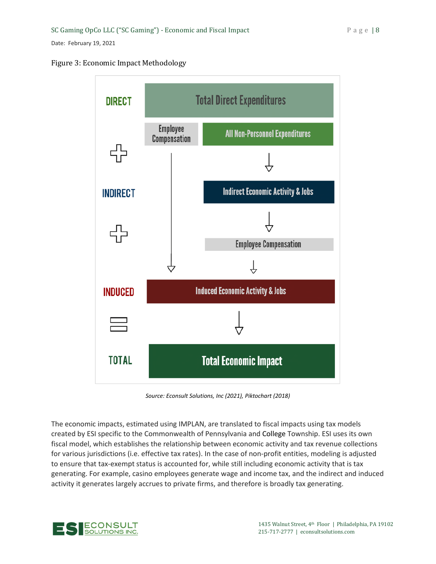# Figure 3: Economic Impact Methodology



*Source: Econsult Solutions, Inc (2021), Piktochart (2018)* 

The economic impacts, estimated using IMPLAN, are translated to fiscal impacts using tax models created by ESI specific to the Commonwealth of Pennsylvania and College Township. ESI uses its own fiscal model, which establishes the relationship between economic activity and tax revenue collections for various jurisdictions (i.e. effective tax rates). In the case of non-profit entities, modeling is adjusted to ensure that tax-exempt status is accounted for, while still including economic activity that is tax generating. For example, casino employees generate wage and income tax, and the indirect and induced activity it generates largely accrues to private firms, and therefore is broadly tax generating.

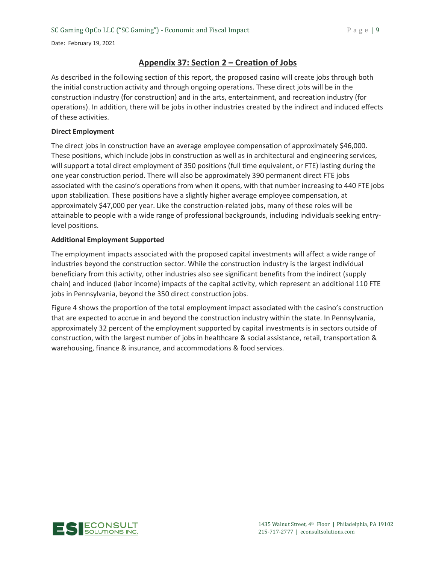# **Appendix 37: Section 2 – Creation of Jobs**

As described in the following section of this report, the proposed casino will create jobs through both the initial construction activity and through ongoing operations. These direct jobs will be in the construction industry (for construction) and in the arts, entertainment, and recreation industry (for operations). In addition, there will be jobs in other industries created by the indirect and induced effects of these activities.

### **Direct Employment**

The direct jobs in construction have an average employee compensation of approximately \$46,000. These positions, which include jobs in construction as well as in architectural and engineering services, will support a total direct employment of 350 positions (full time equivalent, or FTE) lasting during the one year construction period. There will also be approximately 390 permanent direct FTE jobs associated with the casino's operations from when it opens, with that number increasing to 440 FTE jobs upon stabilization. These positions have a slightly higher average employee compensation, at approximately \$47,000 per year. Like the construction-related jobs, many of these roles will be attainable to people with a wide range of professional backgrounds, including individuals seeking entrylevel positions.

#### **Additional Employment Supported**

The employment impacts associated with the proposed capital investments will affect a wide range of industries beyond the construction sector. While the construction industry is the largest individual beneficiary from this activity, other industries also see significant benefits from the indirect (supply chain) and induced (labor income) impacts of the capital activity, which represent an additional 110 FTE jobs in Pennsylvania, beyond the 350 direct construction jobs.

Figure 4 shows the proportion of the total employment impact associated with the casino's construction that are expected to accrue in and beyond the construction industry within the state. In Pennsylvania, approximately 32 percent of the employment supported by capital investments is in sectors outside of construction, with the largest number of jobs in healthcare & social assistance, retail, transportation & warehousing, finance & insurance, and accommodations & food services.

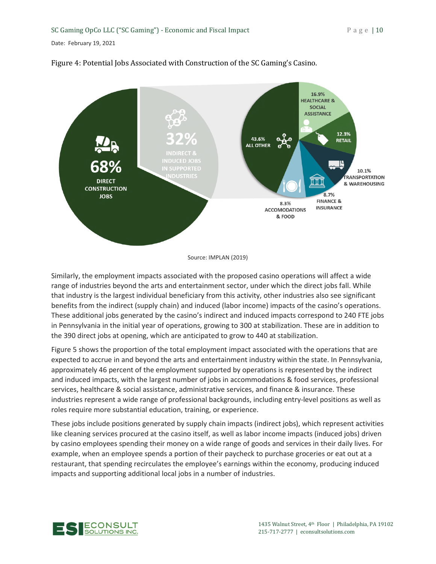

# Figure 4: Potential Jobs Associated with Construction of the SC Gaming's Casino.

Source: IMPLAN (2019)

Similarly, the employment impacts associated with the proposed casino operations will affect a wide range of industries beyond the arts and entertainment sector, under which the direct jobs fall. While that industry is the largest individual beneficiary from this activity, other industries also see significant benefits from the indirect (supply chain) and induced (labor income) impacts of the casino's operations. These additional jobs generated by the casino's indirect and induced impacts correspond to 240 FTE jobs in Pennsylvania in the initial year of operations, growing to 300 at stabilization. These are in addition to the 390 direct jobs at opening, which are anticipated to grow to 440 at stabilization.

Figure 5 shows the proportion of the total employment impact associated with the operations that are expected to accrue in and beyond the arts and entertainment industry within the state. In Pennsylvania, approximately 46 percent of the employment supported by operations is represented by the indirect and induced impacts, with the largest number of jobs in accommodations & food services, professional services, healthcare & social assistance, administrative services, and finance & insurance. These industries represent a wide range of professional backgrounds, including entry-level positions as well as roles require more substantial education, training, or experience.

These jobs include positions generated by supply chain impacts (indirect jobs), which represent activities like cleaning services procured at the casino itself, as well as labor income impacts (induced jobs) driven by casino employees spending their money on a wide range of goods and services in their daily lives. For example, when an employee spends a portion of their paycheck to purchase groceries or eat out at a restaurant, that spending recirculates the employee's earnings within the economy, producing induced impacts and supporting additional local jobs in a number of industries.

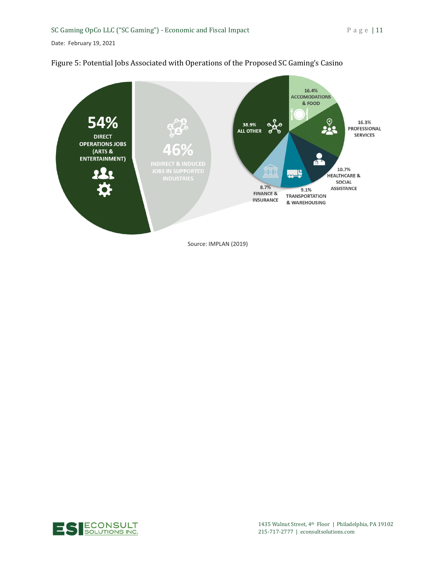



Source: IMPLAN (2019)

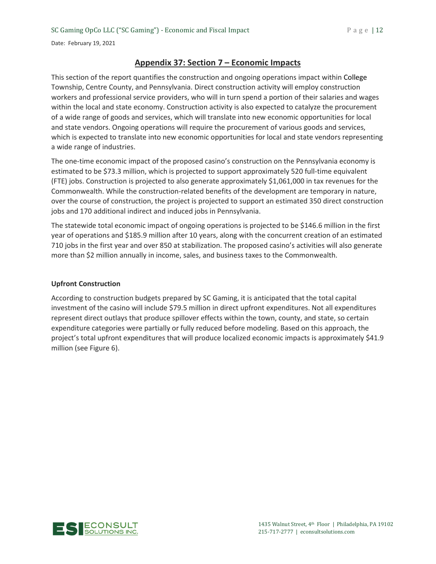# **Appendix 37: Section 7 – Economic Impacts**

This section of the report quantifies the construction and ongoing operations impact within College Township, Centre County, and Pennsylvania. Direct construction activity will employ construction workers and professional service providers, who will in turn spend a portion of their salaries and wages within the local and state economy. Construction activity is also expected to catalyze the procurement of a wide range of goods and services, which will translate into new economic opportunities for local and state vendors. Ongoing operations will require the procurement of various goods and services, which is expected to translate into new economic opportunities for local and state vendors representing a wide range of industries.

The one-time economic impact of the proposed casino's construction on the Pennsylvania economy is estimated to be \$73.3 million, which is projected to support approximately 520 full-time equivalent (FTE) jobs. Construction is projected to also generate approximately \$1,061,000 in tax revenues for the Commonwealth. While the construction-related benefits of the development are temporary in nature, over the course of construction, the project is projected to support an estimated 350 direct construction jobs and 170 additional indirect and induced jobs in Pennsylvania.

The statewide total economic impact of ongoing operations is projected to be \$146.6 million in the first year of operations and \$185.9 million after 10 years, along with the concurrent creation of an estimated 710 jobs in the first year and over 850 at stabilization. The proposed casino's activities will also generate more than \$2 million annually in income, sales, and business taxes to the Commonwealth.

## **Upfront Construction**

According to construction budgets prepared by SC Gaming, it is anticipated that the total capital investment of the casino will include \$79.5 million in direct upfront expenditures. Not all expenditures represent direct outlays that produce spillover effects within the town, county, and state, so certain expenditure categories were partially or fully reduced before modeling. Based on this approach, the project's total upfront expenditures that will produce localized economic impacts is approximately \$41.9 million (see Figure 6).

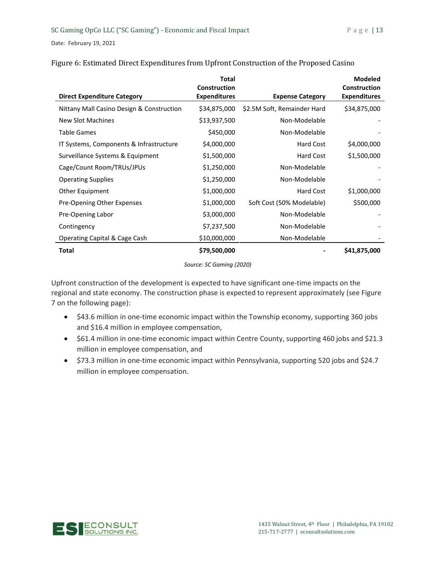|                                           | <b>Total</b><br><b>Construction</b> |                             | <b>Modeled</b><br><b>Construction</b> |
|-------------------------------------------|-------------------------------------|-----------------------------|---------------------------------------|
| <b>Direct Expenditure Category</b>        | <b>Expenditures</b>                 | <b>Expense Category</b>     | <b>Expenditures</b>                   |
| Nittany Mall Casino Design & Construction | \$34,875,000                        | \$2.5M Soft, Remainder Hard | \$34,875,000                          |
| New Slot Machines                         | \$13,937,500                        | Non-Modelable               |                                       |
| <b>Table Games</b>                        | \$450,000                           | Non-Modelable               |                                       |
| IT Systems, Components & Infrastructure   | \$4,000,000                         | Hard Cost                   | \$4,000,000                           |
| Surveillance Systems & Equipment          | \$1,500,000                         | Hard Cost                   | \$1,500,000                           |
| Cage/Count Room/TRUs/JPUs                 | \$1,250,000                         | Non-Modelable               |                                       |
| <b>Operating Supplies</b>                 | \$1,250,000                         | Non-Modelable               |                                       |
| Other Equipment                           | \$1,000,000                         | Hard Cost                   | \$1,000,000                           |
| Pre-Opening Other Expenses                | \$1,000,000                         | Soft Cost (50% Modelable)   | \$500,000                             |
| Pre-Opening Labor                         | \$3,000,000                         | Non-Modelable               |                                       |
| Contingency                               | \$7,237,500                         | Non-Modelable               |                                       |
| Operating Capital & Cage Cash             | \$10,000,000                        | Non-Modelable               |                                       |
| Total                                     | \$79,500,000                        |                             | \$41,875,000                          |

# Figure 6: Estimated Direct Expenditures from Upfront Construction of the Proposed Casino

*Source: SC Gaming (2020)* 

Upfront construction of the development is expected to have significant one-time impacts on the regional and state economy. The construction phase is expected to represent approximately (see Figure 7 on the following page):

- \$43.6 million in one-time economic impact within the Township economy, supporting 360 jobs and \$16.4 million in employee compensation,
- \$61.4 million in one-time economic impact within Centre County, supporting 460 jobs and \$21.3 million in employee compensation, and
- \$73.3 million in one-time economic impact within Pennsylvania, supporting 520 jobs and \$24.7 million in employee compensation.

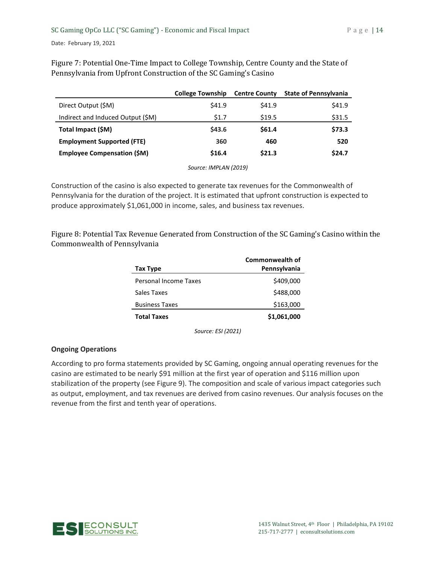**College Township Centre County State of Pennsylvania**  Direct Output (\$M) \$41.9 \$41.9 \$41.9 Indirect and Induced Output  $(\$M)$   $\$1.7$   $\$19.5$  \$31.5 **Total Impact (\$M) \$43.6 \$61.4 \$73.3 Employment Supported (FTE) 360 460 520** 

**Employee Compensation (\$M) \$16.4 \$21.3 \$24.7** 

Figure 7: Potential One-Time Impact to College Township, Centre County and the State of Pennsylvania from Upfront Construction of the SC Gaming's Casino

*Source: IMPLAN (2019)* 

Construction of the casino is also expected to generate tax revenues for the Commonwealth of Pennsylvania for the duration of the project. It is estimated that upfront construction is expected to produce approximately \$1,061,000 in income, sales, and business tax revenues.

Figure 8: Potential Tax Revenue Generated from Construction of the SC Gaming's Casino within the Commonwealth of Pennsylvania

|                       | Commonwealth of |
|-----------------------|-----------------|
| Tax Type              | Pennsylvania    |
| Personal Income Taxes | \$409,000       |
| Sales Taxes           | \$488,000       |
| <b>Business Taxes</b> | \$163,000       |
| <b>Total Taxes</b>    | \$1,061,000     |

*Source: ESI (2021)* 

# **Ongoing Operations**

According to pro forma statements provided by SC Gaming, ongoing annual operating revenues for the casino are estimated to be nearly \$91 million at the first year of operation and \$116 million upon stabilization of the property (see Figure 9). The composition and scale of various impact categories such as output, employment, and tax revenues are derived from casino revenues. Our analysis focuses on the revenue from the first and tenth year of operations.

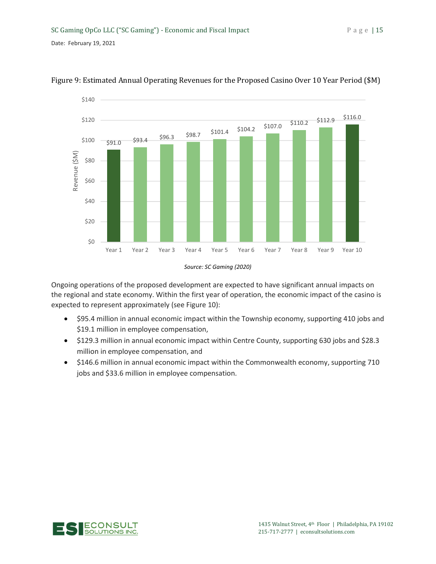



Ongoing operations of the proposed development are expected to have significant annual impacts on the regional and state economy. Within the first year of operation, the economic impact of the casino is expected to represent approximately (see Figure 10):

- \$95.4 million in annual economic impact within the Township economy, supporting 410 jobs and \$19.1 million in employee compensation,
- \$129.3 million in annual economic impact within Centre County, supporting 630 jobs and \$28.3 million in employee compensation, and
- \$146.6 million in annual economic impact within the Commonwealth economy, supporting 710 jobs and \$33.6 million in employee compensation.



*Source: SC Gaming (2020)*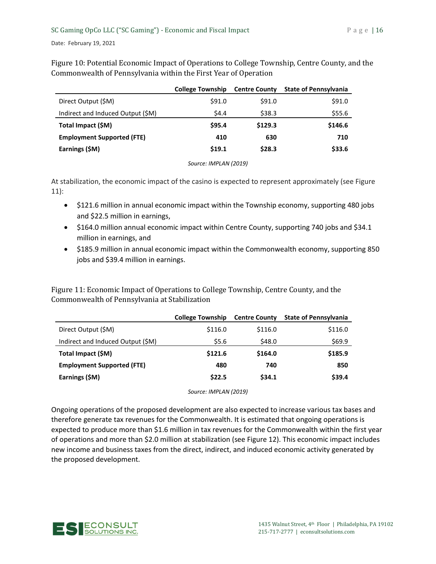Figure 10: Potential Economic Impact of Operations to College Township, Centre County, and the Commonwealth of Pennsylvania within the First Year of Operation

|                                   | <b>College Township</b> | <b>Centre County</b> | <b>State of Pennsylvania</b> |
|-----------------------------------|-------------------------|----------------------|------------------------------|
| Direct Output (\$M)               | \$91.0                  | \$91.0               | \$91.0                       |
| Indirect and Induced Output (\$M) | \$4.4                   | \$38.3               | \$55.6                       |
| Total Impact (\$M)                | \$95.4                  | \$129.3              | \$146.6                      |
| <b>Employment Supported (FTE)</b> | 410                     | 630                  | 710                          |
| Earnings (\$M)                    | \$19.1                  | \$28.3               | \$33.6                       |

*Source: IMPLAN (2019)*

At stabilization, the economic impact of the casino is expected to represent approximately (see Figure 11):

- \$121.6 million in annual economic impact within the Township economy, supporting 480 jobs and \$22.5 million in earnings,
- \$164.0 million annual economic impact within Centre County, supporting 740 jobs and \$34.1 million in earnings, and
- \$185.9 million in annual economic impact within the Commonwealth economy, supporting 850 jobs and \$39.4 million in earnings.

Figure 11: Economic Impact of Operations to College Township, Centre County, and the Commonwealth of Pennsylvania at Stabilization

|                                   | <b>College Township</b> | <b>Centre County</b> | <b>State of Pennsylvania</b> |
|-----------------------------------|-------------------------|----------------------|------------------------------|
| Direct Output (\$M)               | \$116.0                 | \$116.0              | \$116.0                      |
| Indirect and Induced Output (\$M) | \$5.6                   | \$48.0               | \$69.9                       |
| Total Impact (\$M)                | \$121.6                 | \$164.0              | \$185.9                      |
| <b>Employment Supported (FTE)</b> | 480                     | 740                  | 850                          |
| Earnings (\$M)                    | \$22.5                  | \$34.1               | \$39.4                       |

*Source: IMPLAN (2019)* 

Ongoing operations of the proposed development are also expected to increase various tax bases and therefore generate tax revenues for the Commonwealth. It is estimated that ongoing operations is expected to produce more than \$1.6 million in tax revenues for the Commonwealth within the first year of operations and more than \$2.0 million at stabilization (see Figure 12). This economic impact includes new income and business taxes from the direct, indirect, and induced economic activity generated by the proposed development.

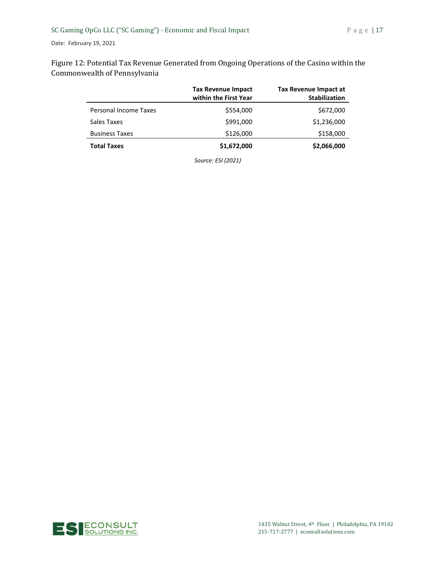Figure 12: Potential Tax Revenue Generated from Ongoing Operations of the Casino within the Commonwealth of Pennsylvania

|                       | <b>Tax Revenue Impact</b><br>within the First Year | Tax Revenue Impact at<br><b>Stabilization</b> |
|-----------------------|----------------------------------------------------|-----------------------------------------------|
| Personal Income Taxes | \$554,000                                          | \$672,000                                     |
| Sales Taxes           | \$991,000                                          | \$1,236,000                                   |
| <b>Business Taxes</b> | \$126,000                                          | \$158,000                                     |
| <b>Total Taxes</b>    | \$1,672,000                                        | \$2,066,000                                   |

*Source: ESI (2021)* 

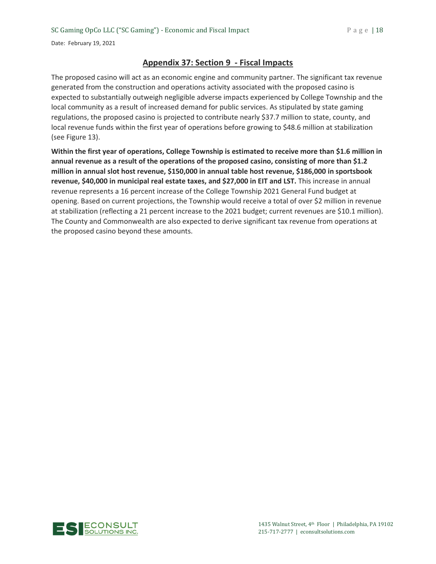# **Appendix 37: Section 9 - Fiscal Impacts**

The proposed casino will act as an economic engine and community partner. The significant tax revenue generated from the construction and operations activity associated with the proposed casino is expected to substantially outweigh negligible adverse impacts experienced by College Township and the local community as a result of increased demand for public services. As stipulated by state gaming regulations, the proposed casino is projected to contribute nearly \$37.7 million to state, county, and local revenue funds within the first year of operations before growing to \$48.6 million at stabilization (see Figure 13).

**Within the first year of operations, College Township is estimated to receive more than \$1.6 million in annual revenue as a result of the operations of the proposed casino, consisting of more than \$1.2 million in annual slot host revenue, \$150,000 in annual table host revenue, \$186,000 in sportsbook revenue, \$40,000 in municipal real estate taxes, and \$27,000 in EIT and LST.** This increase in annual revenue represents a 16 percent increase of the College Township 2021 General Fund budget at opening. Based on current projections, the Township would receive a total of over \$2 million in revenue at stabilization (reflecting a 21 percent increase to the 2021 budget; current revenues are \$10.1 million). The County and Commonwealth are also expected to derive significant tax revenue from operations at the proposed casino beyond these amounts.

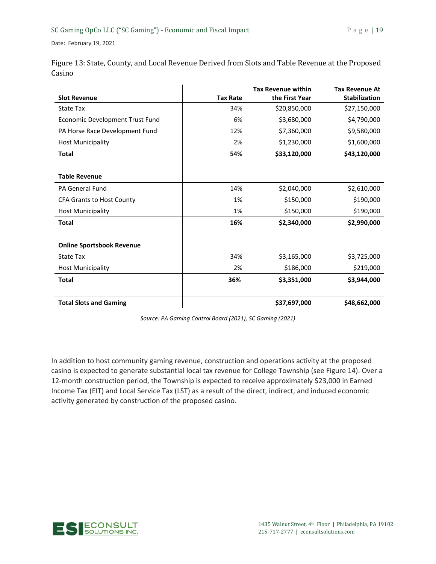|        | Figure 13: State, County, and Local Revenue Derived from Slots and Table Revenue at the Proposed |
|--------|--------------------------------------------------------------------------------------------------|
| Casino |                                                                                                  |
|        |                                                                                                  |

|                                  |                 | <b>Tax Revenue within</b> | <b>Tax Revenue At</b> |
|----------------------------------|-----------------|---------------------------|-----------------------|
| <b>Slot Revenue</b>              | <b>Tax Rate</b> | the First Year            | <b>Stabilization</b>  |
| <b>State Tax</b>                 | 34%             | \$20,850,000              | \$27,150,000          |
| Economic Development Trust Fund  | 6%              | \$3,680,000               | \$4,790,000           |
| PA Horse Race Development Fund   | 12%             | \$7,360,000               | \$9,580,000           |
| <b>Host Municipality</b>         | 2%              | \$1,230,000               | \$1,600,000           |
| <b>Total</b>                     | 54%             | \$33,120,000              | \$43,120,000          |
|                                  |                 |                           |                       |
| <b>Table Revenue</b>             |                 |                           |                       |
| <b>PA General Fund</b>           | 14%             | \$2,040,000               | \$2,610,000           |
| <b>CFA Grants to Host County</b> | 1%              | \$150,000                 | \$190,000             |
| <b>Host Municipality</b>         | 1%              | \$150,000                 | \$190,000             |
| <b>Total</b>                     | 16%             | \$2,340,000               | \$2,990,000           |
| <b>Online Sportsbook Revenue</b> |                 |                           |                       |
|                                  |                 |                           |                       |
| <b>State Tax</b>                 | 34%             | \$3,165,000               | \$3,725,000           |
| <b>Host Municipality</b>         | 2%              | \$186,000                 | \$219,000             |
| <b>Total</b>                     | 36%             | \$3,351,000               | \$3,944,000           |
| <b>Total Slots and Gaming</b>    |                 | \$37,697,000              | \$48,662,000          |

*Source: PA Gaming Control Board (2021), SC Gaming (2021)* 

In addition to host community gaming revenue, construction and operations activity at the proposed casino is expected to generate substantial local tax revenue for College Township (see Figure 14). Over a 12-month construction period, the Township is expected to receive approximately \$23,000 in Earned Income Tax (EIT) and Local Service Tax (LST) as a result of the direct, indirect, and induced economic activity generated by construction of the proposed casino.

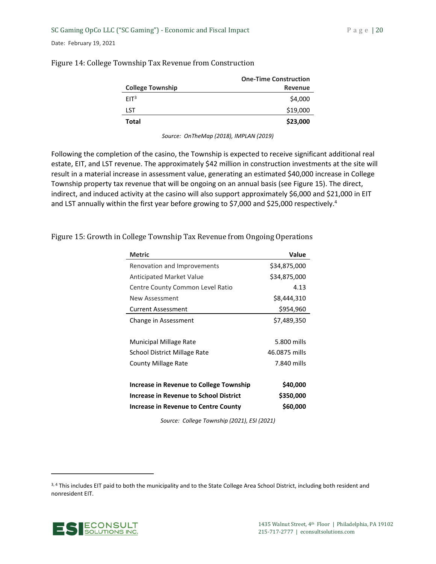|                         | <b>One-Time Construction</b> |
|-------------------------|------------------------------|
| <b>College Township</b> | <b>Revenue</b>               |
| FIT <sup>3</sup>        | \$4,000                      |
| LST                     | \$19,000                     |
| Total                   | \$23,000                     |

## Figure 14: College Township Tax Revenue from Construction

*Source: OnTheMap (2018), IMPLAN (2019)* 

Following the completion of the casino, the Township is expected to receive significant additional real estate, EIT, and LST revenue. The approximately \$42 million in construction investments at the site will result in a material increase in assessment value, generating an estimated \$40,000 increase in College Township property tax revenue that will be ongoing on an annual basis (see Figure 15). The direct, indirect, and induced activity at the casino will also support approximately \$6,000 and \$21,000 in EIT and LST annually within the first year before growing to \$7,000 and \$25,000 respectively.<sup>4</sup>

| <b>Metric</b>                           | <b>Value</b>  |
|-----------------------------------------|---------------|
| Renovation and Improvements             | \$34,875,000  |
| <b>Anticipated Market Value</b>         | \$34,875,000  |
| Centre County Common Level Ratio        | 4.13          |
| New Assessment                          | \$8,444,310   |
| <b>Current Assessment</b>               | \$954,960     |
| Change in Assessment                    | \$7,489,350   |
|                                         |               |
| <b>Municipal Millage Rate</b>           | 5.800 mills   |
| School District Millage Rate            | 46.0875 mills |
| <b>County Millage Rate</b>              | 7.840 mills   |
|                                         |               |
| Increase in Revenue to College Township | \$40,000      |
| Increase in Revenue to School District  | \$350,000     |
| Increase in Revenue to Centre County    | \$60,000      |

Figure 15: Growth in College Township Tax Revenue from Ongoing Operations

*Source: College Township (2021), ESI (2021)*

<sup>3, 4</sup> This includes EIT paid to both the municipality and to the State College Area School District, including both resident and nonresident EIT.